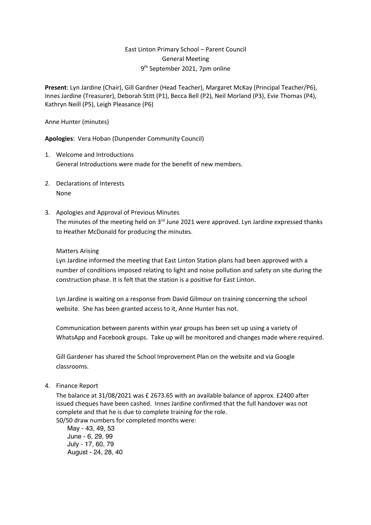# East Linton Primary School – Parent Council General Meeting 9th September 2021, 7pm online

**Present**: Lyn Jardine (Chair), Gill Gardner (Head Teacher), Margaret McKay (Principal Teacher/P6), Innes Jardine (Treasurer), Deborah Stitt (P1), Becca Bell (P2), Neil Morland (P3), Evie Thomas (P4), Kathryn Neill (P5), Leigh Pleasance (P6)

Anne Hunter (minutes)

**Apologies**: Vera Hoban (Dunpender Community Council)

- 1. Welcome and Introductions General Introductions were made for the benefit of new members.
- 2. Declarations of Interests None
- 3. Apologies and Approval of Previous Minutes The minutes of the meeting held on 3<sup>rd</sup> June 2021 were approved. Lyn Jardine expressed thanks to Heather McDonald for producing the minutes.

#### Matters Arising

Lyn Jardine informed the meeting that East Linton Station plans had been approved with a number of conditions imposed relating to light and noise pollution and safety on site during the construction phase. It is felt that the station is a positive for East Linton.

Lyn Jardine is waiting on a response from David Gilmour on training concerning the school website. She has been granted access to it, Anne Hunter has not.

Communication between parents within year groups has been set up using a variety of WhatsApp and Facebook groups. Take up will be monitored and changes made where required.

Gill Gardener has shared the School Improvement Plan on the website and via Google classrooms.

4. Finance Report

The balance at 31/08/2021 was £ 2673.65 with an available balance of approx. £2400 after issued cheques have been cashed. Innes Jardine confirmed that the full handover was not complete and that he is due to complete training for the role. 50/50 draw numbers for completed months were:

May - 43, 49, 53 June - 6, 29, 99 July - 17, 60, 79 August - 24, 28, 40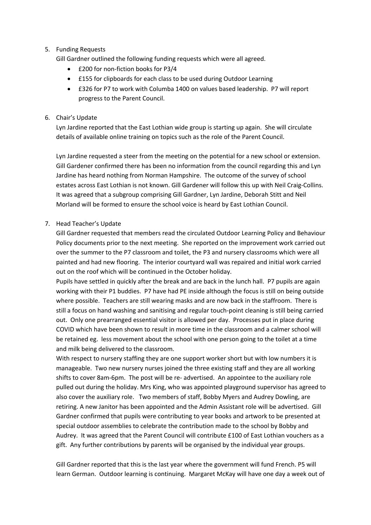### 5. Funding Requests

Gill Gardner outlined the following funding requests which were all agreed.

- £200 for non-fiction books for P3/4
- £155 for clipboards for each class to be used during Outdoor Learning
- £326 for P7 to work with Columba 1400 on values based leadership. P7 will report progress to the Parent Council.

### 6. Chair's Update

Lyn Jardine reported that the East Lothian wide group is starting up again. She will circulate details of available online training on topics such as the role of the Parent Council.

Lyn Jardine requested a steer from the meeting on the potential for a new school or extension. Gill Gardener confirmed there has been no information from the council regarding this and Lyn Jardine has heard nothing from Norman Hampshire. The outcome of the survey of school estates across East Lothian is not known. Gill Gardener will follow this up with Neil Craig-Collins. It was agreed that a subgroup comprising Gill Gardner, Lyn Jardine, Deborah Stitt and Neil Morland will be formed to ensure the school voice is heard by East Lothian Council.

# 7. Head Teacher's Update

Gill Gardner requested that members read the circulated Outdoor Learning Policy and Behaviour Policy documents prior to the next meeting. She reported on the improvement work carried out over the summer to the P7 classroom and toilet, the P3 and nursery classrooms which were all painted and had new flooring. The interior courtyard wall was repaired and initial work carried out on the roof which will be continued in the October holiday.

Pupils have settled in quickly after the break and are back in the lunch hall. P7 pupils are again working with their P1 buddies. P7 have had PE inside although the focus is still on being outside where possible. Teachers are still wearing masks and are now back in the staffroom. There is still a focus on hand washing and sanitising and regular touch-point cleaning is still being carried out. Only one prearranged essential visitor is allowed per day. Processes put in place during COVID which have been shown to result in more time in the classroom and a calmer school will be retained eg. less movement about the school with one person going to the toilet at a time and milk being delivered to the classroom.

With respect to nursery staffing they are one support worker short but with low numbers it is manageable. Two new nursery nurses joined the three existing staff and they are all working shifts to cover 8am-6pm. The post will be re- advertised. An appointee to the auxiliary role pulled out during the holiday. Mrs King, who was appointed playground supervisor has agreed to also cover the auxiliary role. Two members of staff, Bobby Myers and Audrey Dowling, are retiring. A new Janitor has been appointed and the Admin Assistant role will be advertised. Gill Gardner confirmed that pupils were contributing to year books and artwork to be presented at special outdoor assemblies to celebrate the contribution made to the school by Bobby and Audrey. It was agreed that the Parent Council will contribute £100 of East Lothian vouchers as a gift. Any further contributions by parents will be organised by the individual year groups.

Gill Gardner reported that this is the last year where the government will fund French. P5 will learn German. Outdoor learning is continuing. Margaret McKay will have one day a week out of